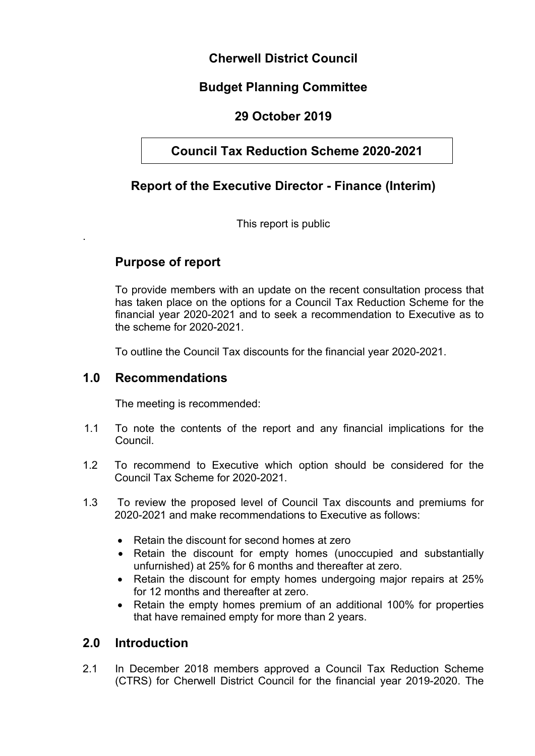## **Cherwell District Council**

## **Budget Planning Committee**

## **29 October 2019**

## **Council Tax Reduction Scheme 2020-2021**

## **Report of the Executive Director - Finance (Interim)**

This report is public

## **Purpose of report**

.

To provide members with an update on the recent consultation process that has taken place on the options for a Council Tax Reduction Scheme for the financial year 2020-2021 and to seek a recommendation to Executive as to the scheme for 2020-2021.

To outline the Council Tax discounts for the financial year 2020-2021.

### **1.0 Recommendations**

The meeting is recommended:

- 1.1 To note the contents of the report and any financial implications for the Council.
- 1.2 To recommend to Executive which option should be considered for the Council Tax Scheme for 2020-2021.
- 1.3 To review the proposed level of Council Tax discounts and premiums for 2020-2021 and make recommendations to Executive as follows:
	- Retain the discount for second homes at zero
	- Retain the discount for empty homes (unoccupied and substantially unfurnished) at 25% for 6 months and thereafter at zero.
	- Retain the discount for empty homes undergoing major repairs at 25% for 12 months and thereafter at zero.
	- Retain the empty homes premium of an additional 100% for properties that have remained empty for more than 2 years.

### **2.0 Introduction**

2.1 In December 2018 members approved a Council Tax Reduction Scheme (CTRS) for Cherwell District Council for the financial year 2019-2020. The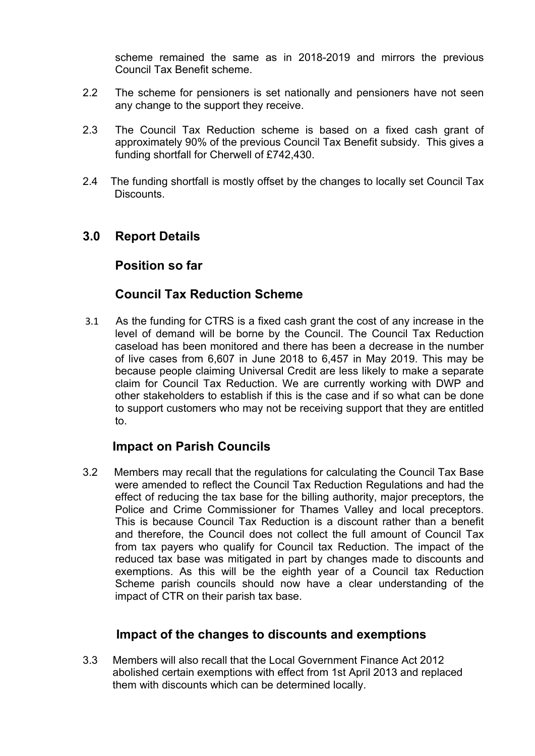scheme remained the same as in 2018-2019 and mirrors the previous Council Tax Benefit scheme.

- 2.2 The scheme for pensioners is set nationally and pensioners have not seen any change to the support they receive.
- 2.3 The Council Tax Reduction scheme is based on a fixed cash grant of approximately 90% of the previous Council Tax Benefit subsidy. This gives a funding shortfall for Cherwell of £742,430.
- 2.4 The funding shortfall is mostly offset by the changes to locally set Council Tax **Discounts**

### **3.0 Report Details**

### **Position so far**

### **Council Tax Reduction Scheme**

3.1 As the funding for CTRS is a fixed cash grant the cost of any increase in the level of demand will be borne by the Council. The Council Tax Reduction caseload has been monitored and there has been a decrease in the number of live cases from 6,607 in June 2018 to 6,457 in May 2019. This may be because people claiming Universal Credit are less likely to make a separate claim for Council Tax Reduction. We are currently working with DWP and other stakeholders to establish if this is the case and if so what can be done to support customers who may not be receiving support that they are entitled to.

### **Impact on Parish Councils**

3.2 Members may recall that the regulations for calculating the Council Tax Base were amended to reflect the Council Tax Reduction Regulations and had the effect of reducing the tax base for the billing authority, major preceptors, the Police and Crime Commissioner for Thames Valley and local preceptors. This is because Council Tax Reduction is a discount rather than a benefit and therefore, the Council does not collect the full amount of Council Tax from tax payers who qualify for Council tax Reduction. The impact of the reduced tax base was mitigated in part by changes made to discounts and exemptions. As this will be the eighth year of a Council tax Reduction Scheme parish councils should now have a clear understanding of the impact of CTR on their parish tax base.

### **Impact of the changes to discounts and exemptions**

3.3 Members will also recall that the Local Government Finance Act 2012 abolished certain exemptions with effect from 1st April 2013 and replaced them with discounts which can be determined locally.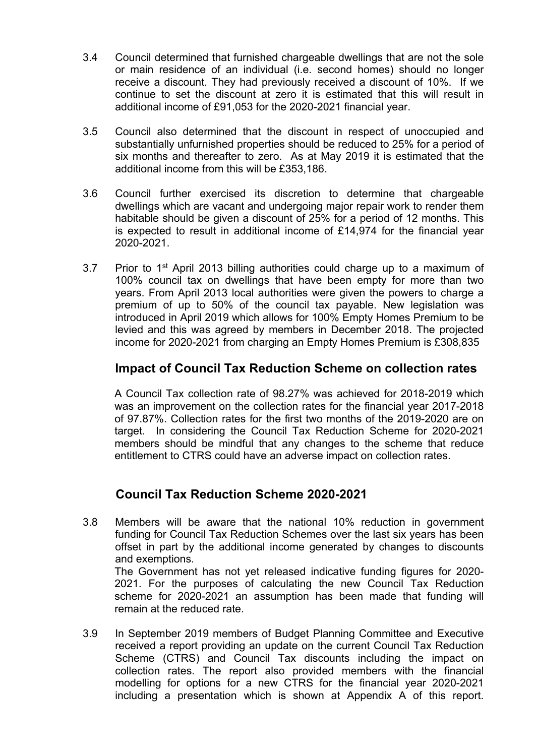- 3.4 Council determined that furnished chargeable dwellings that are not the sole or main residence of an individual (i.e. second homes) should no longer receive a discount. They had previously received a discount of 10%. If we continue to set the discount at zero it is estimated that this will result in additional income of £91,053 for the 2020-2021 financial year.
- 3.5 Council also determined that the discount in respect of unoccupied and substantially unfurnished properties should be reduced to 25% for a period of six months and thereafter to zero. As at May 2019 it is estimated that the additional income from this will be £353,186.
- 3.6 Council further exercised its discretion to determine that chargeable dwellings which are vacant and undergoing major repair work to render them habitable should be given a discount of 25% for a period of 12 months. This is expected to result in additional income of £14,974 for the financial year 2020-2021.
- 3.7 Prior to 1<sup>st</sup> April 2013 billing authorities could charge up to a maximum of 100% council tax on dwellings that have been empty for more than two years. From April 2013 local authorities were given the powers to charge a premium of up to 50% of the council tax payable. New legislation was introduced in April 2019 which allows for 100% Empty Homes Premium to be levied and this was agreed by members in December 2018. The projected income for 2020-2021 from charging an Empty Homes Premium is £308,835

### **Impact of Council Tax Reduction Scheme on collection rates**

A Council Tax collection rate of 98.27% was achieved for 2018-2019 which was an improvement on the collection rates for the financial year 2017-2018 of 97.87%. Collection rates for the first two months of the 2019-2020 are on target. In considering the Council Tax Reduction Scheme for 2020-2021 members should be mindful that any changes to the scheme that reduce entitlement to CTRS could have an adverse impact on collection rates.

## **Council Tax Reduction Scheme 2020-2021**

- 3.8 Members will be aware that the national 10% reduction in government funding for Council Tax Reduction Schemes over the last six years has been offset in part by the additional income generated by changes to discounts and exemptions. The Government has not yet released indicative funding figures for 2020- 2021. For the purposes of calculating the new Council Tax Reduction scheme for 2020-2021 an assumption has been made that funding will remain at the reduced rate.
- 3.9 In September 2019 members of Budget Planning Committee and Executive received a report providing an update on the current Council Tax Reduction Scheme (CTRS) and Council Tax discounts including the impact on collection rates. The report also provided members with the financial modelling for options for a new CTRS for the financial year 2020-2021 including a presentation which is shown at Appendix A of this report.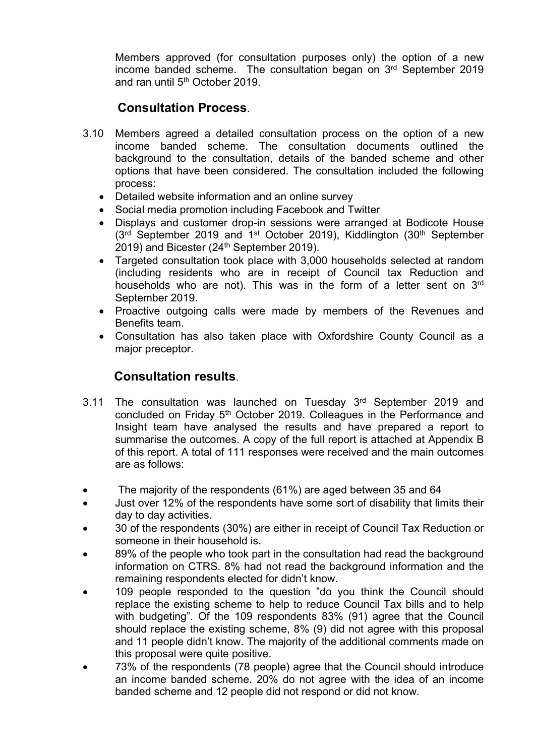Members approved (for consultation purposes only) the option of a new income banded scheme. The consultation began on 3<sup>rd</sup> September 2019 and ran until 5<sup>th</sup> October 2019.

## **Consultation Process**.

- 3.10 Members agreed a detailed consultation process on the option of a new income banded scheme. The consultation documents outlined the background to the consultation, details of the banded scheme and other options that have been considered. The consultation included the following process:
	- Detailed website information and an online survey
	- Social media promotion including Facebook and Twitter
	- Displays and customer drop-in sessions were arranged at Bodicote House (3<sup>rd</sup> September 2019 and 1<sup>st</sup> October 2019), Kiddlington (30<sup>th</sup> September 2019) and Bicester (24<sup>th</sup> September 2019).
	- Targeted consultation took place with 3,000 households selected at random (including residents who are in receipt of Council tax Reduction and households who are not). This was in the form of a letter sent on 3<sup>rd</sup> September 2019.
	- Proactive outgoing calls were made by members of the Revenues and Benefits team.
	- Consultation has also taken place with Oxfordshire County Council as a major preceptor.

### **Consultation results**.

- 3.11 The consultation was launched on Tuesday 3<sup>rd</sup> September 2019 and concluded on Friday 5<sup>th</sup> October 2019. Colleagues in the Performance and Insight team have analysed the results and have prepared a report to summarise the outcomes. A copy of the full report is attached at Appendix B of this report. A total of 111 responses were received and the main outcomes are as follows:
- The majority of the respondents (61%) are aged between 35 and 64
- Just over 12% of the respondents have some sort of disability that limits their day to day activities.
- 30 of the respondents (30%) are either in receipt of Council Tax Reduction or someone in their household is.
- 89% of the people who took part in the consultation had read the background information on CTRS. 8% had not read the background information and the remaining respondents elected for didn't know.
- 109 people responded to the question "do you think the Council should replace the existing scheme to help to reduce Council Tax bills and to help with budgeting". Of the 109 respondents 83% (91) agree that the Council should replace the existing scheme, 8% (9) did not agree with this proposal and 11 people didn't know. The majority of the additional comments made on this proposal were quite positive.
- 73% of the respondents (78 people) agree that the Council should introduce an income banded scheme. 20% do not agree with the idea of an income banded scheme and 12 people did not respond or did not know.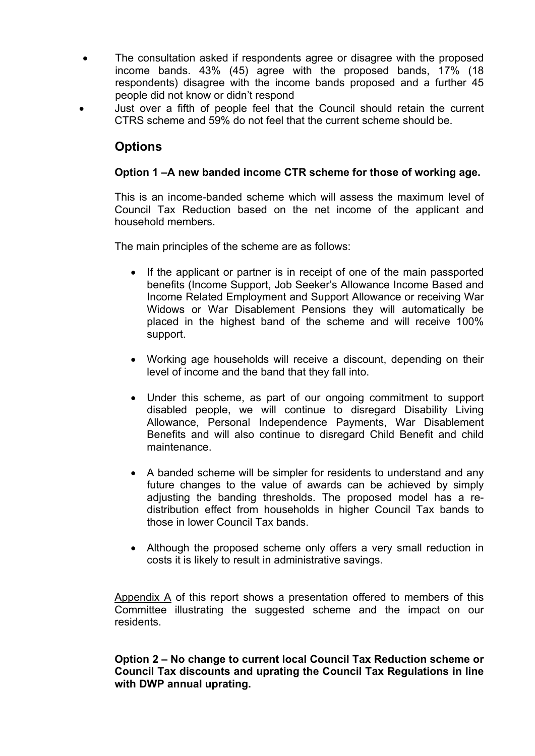- The consultation asked if respondents agree or disagree with the proposed income bands. 43% (45) agree with the proposed bands, 17% (18 respondents) disagree with the income bands proposed and a further 45 people did not know or didn't respond
- Just over a fifth of people feel that the Council should retain the current CTRS scheme and 59% do not feel that the current scheme should be.

## **Options**

#### **Option 1 –A new banded income CTR scheme for those of working age.**

This is an income-banded scheme which will assess the maximum level of Council Tax Reduction based on the net income of the applicant and household members.

The main principles of the scheme are as follows:

- If the applicant or partner is in receipt of one of the main passported benefits (Income Support, Job Seeker's Allowance Income Based and Income Related Employment and Support Allowance or receiving War Widows or War Disablement Pensions they will automatically be placed in the highest band of the scheme and will receive 100% support.
- Working age households will receive a discount, depending on their level of income and the band that they fall into.
- Under this scheme, as part of our ongoing commitment to support disabled people, we will continue to disregard Disability Living Allowance, Personal Independence Payments, War Disablement Benefits and will also continue to disregard Child Benefit and child maintenance.
- A banded scheme will be simpler for residents to understand and any future changes to the value of awards can be achieved by simply adjusting the banding thresholds. The proposed model has a redistribution effect from households in higher Council Tax bands to those in lower Council Tax bands.
- Although the proposed scheme only offers a very small reduction in costs it is likely to result in administrative savings.

Appendix A of this report shows a presentation offered to members of this Committee illustrating the suggested scheme and the impact on our residents.

#### **Option 2 – No change to current local Council Tax Reduction scheme or Council Tax discounts and uprating the Council Tax Regulations in line with DWP annual uprating.**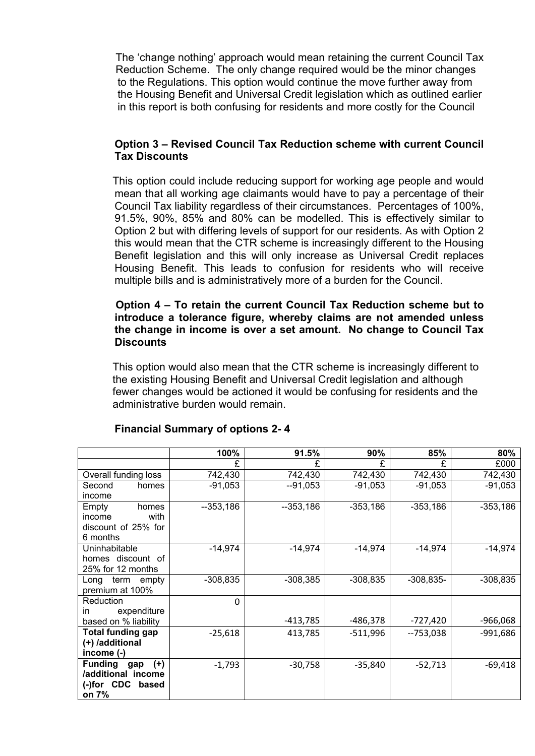The 'change nothing' approach would mean retaining the current Council Tax Reduction Scheme. The only change required would be the minor changes to the Regulations. This option would continue the move further away from the Housing Benefit and Universal Credit legislation which as outlined earlier in this report is both confusing for residents and more costly for the Council

#### **Option 3 – Revised Council Tax Reduction scheme with current Council Tax Discounts**

 This option could include reducing support for working age people and would mean that all working age claimants would have to pay a percentage of their Council Tax liability regardless of their circumstances. Percentages of 100%, 91.5%, 90%, 85% and 80% can be modelled. This is effectively similar to Option 2 but with differing levels of support for our residents. As with Option 2 this would mean that the CTR scheme is increasingly different to the Housing Benefit legislation and this will only increase as Universal Credit replaces Housing Benefit. This leads to confusion for residents who will receive multiple bills and is administratively more of a burden for the Council.

#### **Option 4 – To retain the current Council Tax Reduction scheme but to introduce a tolerance figure, whereby claims are not amended unless the change in income is over a set amount. No change to Council Tax Discounts**

 This option would also mean that the CTR scheme is increasingly different to the existing Housing Benefit and Universal Credit legislation and although fewer changes would be actioned it would be confusing for residents and the administrative burden would remain.

|                                | 100%       | 91.5%      | 90%        | 85%         | 80%        |
|--------------------------------|------------|------------|------------|-------------|------------|
|                                | £          | £          | £          | £           | £000       |
| Overall funding loss           | 742,430    | 742,430    | 742,430    | 742,430     | 742,430    |
| Second<br>homes                | $-91,053$  | $-91,053$  | $-91,053$  | $-91,053$   | $-91,053$  |
| income                         |            |            |            |             |            |
| Empty<br>homes                 | $-353,186$ | $-353,186$ | $-353,186$ | $-353,186$  | $-353,186$ |
| with<br>income                 |            |            |            |             |            |
| discount of 25% for            |            |            |            |             |            |
| 6 months                       |            |            |            |             |            |
| Uninhabitable                  | $-14,974$  | $-14,974$  | $-14,974$  | $-14,974$   | $-14,974$  |
| homes discount of              |            |            |            |             |            |
| 25% for 12 months              |            |            |            |             |            |
| term empty<br>Long             | $-308,835$ | $-308,385$ | $-308,835$ | $-308,835-$ | $-308,835$ |
| premium at 100%                |            |            |            |             |            |
| Reduction                      | $\Omega$   |            |            |             |            |
| expenditure<br>in.             |            |            |            |             |            |
| based on % liability           |            | -413,785   | -486,378   | $-727,420$  | -966,068   |
| <b>Total funding gap</b>       | $-25,618$  | 413,785    | $-511,996$ | $-753,038$  | $-991,686$ |
| (+) /additional                |            |            |            |             |            |
| income $(-)$                   |            |            |            |             |            |
| <b>Funding</b><br>$(+)$<br>gap | $-1,793$   | $-30,758$  | $-35,840$  | $-52,713$   | $-69,418$  |
| /additional income             |            |            |            |             |            |
| (-)for CDC based               |            |            |            |             |            |
| on 7%                          |            |            |            |             |            |

#### **Financial Summary of options 2- 4**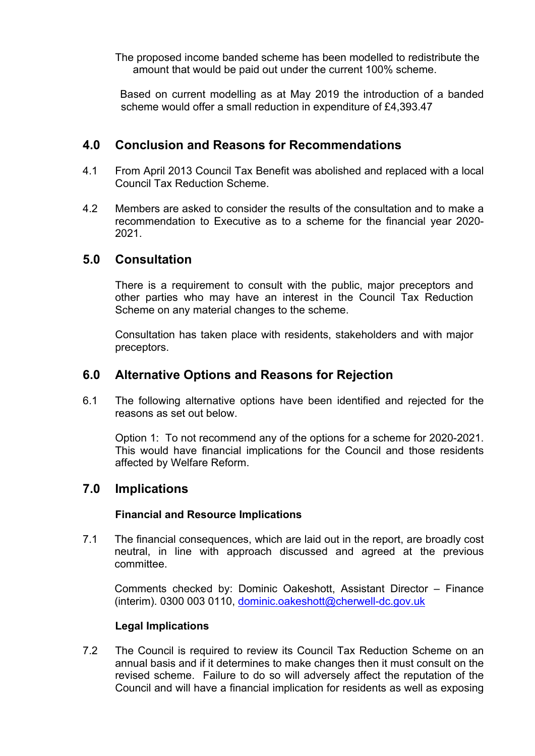The proposed income banded scheme has been modelled to redistribute the amount that would be paid out under the current 100% scheme.

 Based on current modelling as at May 2019 the introduction of a banded scheme would offer a small reduction in expenditure of £4,393.47

### **4.0 Conclusion and Reasons for Recommendations**

- 4.1 From April 2013 Council Tax Benefit was abolished and replaced with a local Council Tax Reduction Scheme.
- 4.2 Members are asked to consider the results of the consultation and to make a recommendation to Executive as to a scheme for the financial year 2020- 2021.

### **5.0 Consultation**

There is a requirement to consult with the public, major preceptors and other parties who may have an interest in the Council Tax Reduction Scheme on any material changes to the scheme.

Consultation has taken place with residents, stakeholders and with major preceptors.

### **6.0 Alternative Options and Reasons for Rejection**

6.1 The following alternative options have been identified and rejected for the reasons as set out below.

Option 1: To not recommend any of the options for a scheme for 2020-2021. This would have financial implications for the Council and those residents affected by Welfare Reform.

### **7.0 Implications**

#### **Financial and Resource Implications**

7.1 The financial consequences, which are laid out in the report, are broadly cost neutral, in line with approach discussed and agreed at the previous committee.

Comments checked by: Dominic Oakeshott, Assistant Director – Finance (interim). 0300 003 0110, [dominic.oakeshott@cherwell-dc.gov.uk](mailto:dominic.oakeshott@cherwell-dc.gov.uk)

#### **Legal Implications**

7.2 The Council is required to review its Council Tax Reduction Scheme on an annual basis and if it determines to make changes then it must consult on the revised scheme. Failure to do so will adversely affect the reputation of the Council and will have a financial implication for residents as well as exposing